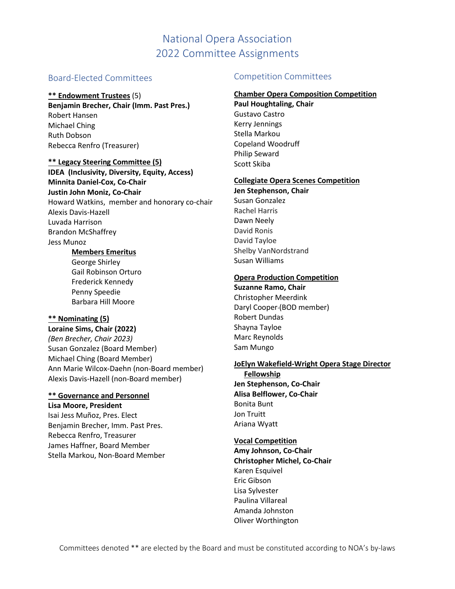# National Opera Association 2022 Committee Assignments

## Board-Elected Committees

#### **\*\* Endowment Trustees** (5)

**Benjamin Brecher, Chair (Imm. Past Pres.)** Robert Hansen Michael Ching Ruth Dobson Rebecca Renfro (Treasurer)

### **\*\* Legacy Steering Committee (5)**

**IDEA (Inclusivity, Diversity, Equity, Access) Minnita Daniel-Cox, Co-Chair Justin John Moniz, Co-Chair** Howard Watkins, member and honorary co-chair Alexis Davis-Hazell Luvada Harrison Brandon McShaffrey Jess Munoz

#### **Members Emeritus**

George Shirley Gail Robinson Orturo Frederick Kennedy Penny Speedie Barbara Hill Moore

#### **\*\* Nominating (5)**

**Loraine Sims, Chair (2022)** *(Ben Brecher, Chair 2023)* Susan Gonzalez (Board Member) Michael Ching (Board Member) Ann Marie Wilcox-Daehn (non-Board member) Alexis Davis-Hazell (non-Board member)

## **\*\* Governance and Personnel**

**Lisa Moore, President** Isai Jess Muñoz, Pres. Elect Benjamin Brecher, Imm. Past Pres. Rebecca Renfro, Treasurer James Haffner, Board Member Stella Markou, Non-Board Member

#### Competition Committees

#### **Chamber Opera Composition Competition**

**Paul Houghtaling, Chair** Gustavo Castro Kerry Jennings Stella Markou Copeland Woodruff Philip Seward Scott Skiba

#### **Collegiate Opera Scenes Competition**

**Jen Stephenson, Chair** Susan Gonzalez Rachel Harris Dawn Neely David Ronis David Tayloe Shelby VanNordstrand Susan Williams

#### **Opera Production Competition**

**Suzanne Ramo, Chair** Christopher Meerdink Daryl Cooper (BOD member) Robert Dundas Shayna Tayloe Marc Reynolds Sam Mungo

#### **JoElyn Wakefield-Wright Opera Stage Director**

**Fellowship Jen Stephenson, Co-Chair Alisa Belflower, Co-Chair** Bonita Bunt Jon Truitt Ariana Wyatt

## **Vocal Competition**

**Amy Johnson, Co-Chair Christopher Michel, Co-Chair**  Karen Esquivel Eric Gibson Lisa Sylvester Paulina Villareal Amanda Johnston Oliver Worthington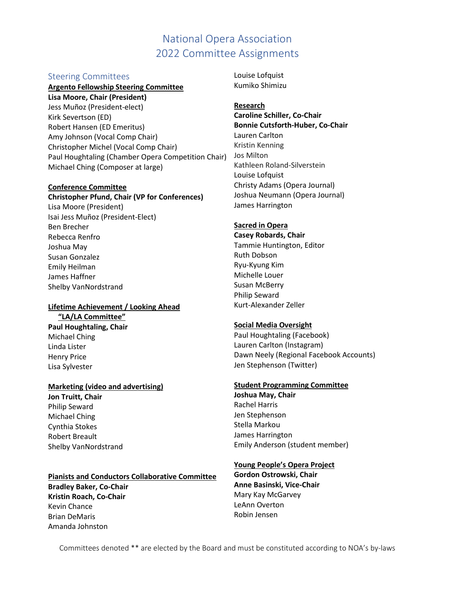# National Opera Association 2022 Committee Assignments

#### Steering Committees

#### **Argento Fellowship Steering Committee**

**Lisa Moore, Chair (President)** Jess Muñoz (President-elect) Kirk Severtson (ED) Robert Hansen (ED Emeritus) Amy Johnson (Vocal Comp Chair) Christopher Michel (Vocal Comp Chair) Paul Houghtaling (Chamber Opera Competition Chair) Michael Ching (Composer at large)

#### **Conference Committee**

#### **Christopher Pfund, Chair (VP for Conferences)**

Lisa Moore (President) Isai Jess Muñoz (President-Elect) Ben Brecher Rebecca Renfro Joshua May Susan Gonzalez Emily Heilman James Haffner Shelby VanNordstrand

#### **Lifetime Achievement / Looking Ahead "LA/LA Committee"**

**Paul Houghtaling, Chair** Michael Ching Linda Lister Henry Price Lisa Sylvester

#### **Marketing (video and advertising)**

**Jon Truitt, Chair** Philip Seward Michael Ching Cynthia Stokes Robert Breault Shelby VanNordstrand

#### **Pianists and Conductors Collaborative Committee**

**Bradley Baker, Co-Chair Kristin Roach, Co-Chair** Kevin Chance Brian DeMaris Amanda Johnston

Louise Lofquist Kumiko Shimizu

#### **Research**

**Caroline Schiller, Co-Chair Bonnie Cutsforth-Huber, Co-Chair**  Lauren Carlton Kristin Kenning Jos Milton Kathleen Roland-Silverstein Louise Lofquist Christy Adams (Opera Journal) Joshua Neumann (Opera Journal) James Harrington

#### **Sacred in Opera**

**Casey Robards, Chair** Tammie Huntington, Editor Ruth Dobson Ryu-Kyung Kim Michelle Louer Susan McBerry Philip Seward Kurt-Alexander Zeller

#### **Social Media Oversight**

Paul Houghtaling (Facebook) Lauren Carlton (Instagram) Dawn Neely (Regional Facebook Accounts) Jen Stephenson (Twitter)

#### **Student Programming Committee**

**Joshua May, Chair** Rachel Harris Jen Stephenson Stella Markou James Harrington Emily Anderson (student member)

#### **Young People's Opera Project**

**Gordon Ostrowski, Chair Anne Basinski, Vice-Chair** Mary Kay McGarvey LeAnn Overton Robin Jensen

Committees denoted \*\* are elected by the Board and must be constituted according to NOA's by-laws